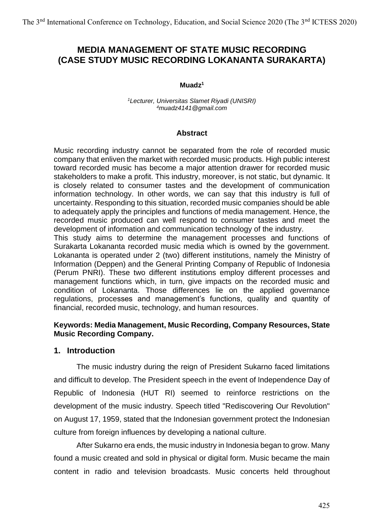# **MEDIA MANAGEMENT OF STATE MUSIC RECORDING (CASE STUDY MUSIC RECORDING LOKANANTA SURAKARTA)**

#### **Muadz<sup>1</sup>**

*<sup>1</sup>Lecturer, Universitas Slamet Riyadi (UNISRI) <sup>4</sup>muadz4141@gmail.com*

#### **Abstract**

Music recording industry cannot be separated from the role of recorded music company that enliven the market with recorded music products. High public interest toward recorded music has become a major attention drawer for recorded music stakeholders to make a profit. This industry, moreover, is not static, but dynamic. It is closely related to consumer tastes and the development of communication information technology. In other words, we can say that this industry is full of uncertainty. Responding to this situation, recorded music companies should be able to adequately apply the principles and functions of media management. Hence, the recorded music produced can well respond to consumer tastes and meet the development of information and communication technology of the industry.

This study aims to determine the management processes and functions of Surakarta Lokananta recorded music media which is owned by the government. Lokananta is operated under 2 (two) different institutions, namely the Ministry of Information (Deppen) and the General Printing Company of Republic of Indonesia (Perum PNRI). These two different institutions employ different processes and management functions which, in turn, give impacts on the recorded music and condition of Lokananta. Those differences lie on the applied governance regulations, processes and management's functions, quality and quantity of financial, recorded music, technology, and human resources.

#### **Keywords: Media Management, Music Recording, Company Resources, State Music Recording Company.**

### **1. Introduction**

The music industry during the reign of President Sukarno faced limitations and difficult to develop. The President speech in the event of Independence Day of Republic of Indonesia (HUT RI) seemed to reinforce restrictions on the development of the music industry. Speech titled "Rediscovering Our Revolution" on August 17, 1959, stated that the Indonesian government protect the Indonesian culture from foreign influences by developing a national culture.

After Sukarno era ends, the music industry in Indonesia began to grow. Many found a music created and sold in physical or digital form. Music became the main content in radio and television broadcasts. Music concerts held throughout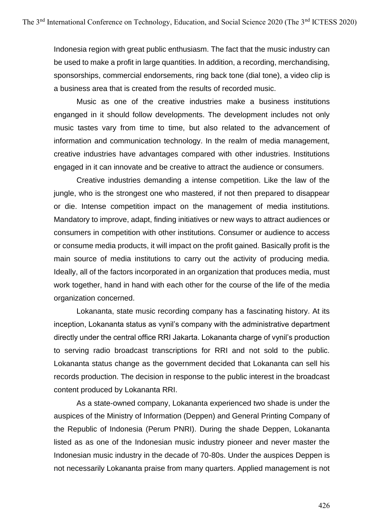Indonesia region with great public enthusiasm. The fact that the music industry can be used to make a profit in large quantities. In addition, a recording, merchandising, sponsorships, commercial endorsements, ring back tone (dial tone), a video clip is a business area that is created from the results of recorded music.

Music as one of the creative industries make a business institutions enganged in it should follow developments. The development includes not only music tastes vary from time to time, but also related to the advancement of information and communication technology. In the realm of media management, creative industries have advantages compared with other industries. Institutions engaged in it can innovate and be creative to attract the audience or consumers.

Creative industries demanding a intense competition. Like the law of the jungle, who is the strongest one who mastered, if not then prepared to disappear or die. Intense competition impact on the management of media institutions. Mandatory to improve, adapt, finding initiatives or new ways to attract audiences or consumers in competition with other institutions. Consumer or audience to access or consume media products, it will impact on the profit gained. Basically profit is the main source of media institutions to carry out the activity of producing media. Ideally, all of the factors incorporated in an organization that produces media, must work together, hand in hand with each other for the course of the life of the media organization concerned.

Lokananta, state music recording company has a fascinating history. At its inception, Lokananta status as vynil's company with the administrative department directly under the central office RRI Jakarta. Lokananta charge of vynil's production to serving radio broadcast transcriptions for RRI and not sold to the public. Lokananta status change as the government decided that Lokananta can sell his records production. The decision in response to the public interest in the broadcast content produced by Lokananta RRI.

As a state-owned company, Lokananta experienced two shade is under the auspices of the Ministry of Information (Deppen) and General Printing Company of the Republic of Indonesia (Perum PNRI). During the shade Deppen, Lokananta listed as as one of the Indonesian music industry pioneer and never master the Indonesian music industry in the decade of 70-80s. Under the auspices Deppen is not necessarily Lokananta praise from many quarters. Applied management is not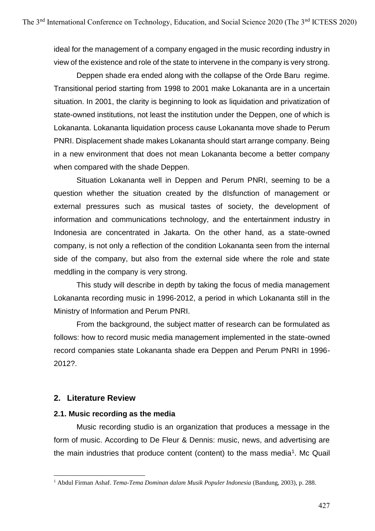ideal for the management of a company engaged in the music recording industry in view of the existence and role of the state to intervene in the company is very strong.

Deppen shade era ended along with the collapse of the Orde Baru regime. Transitional period starting from 1998 to 2001 make Lokananta are in a uncertain situation. In 2001, the clarity is beginning to look as liquidation and privatization of state-owned institutions, not least the institution under the Deppen, one of which is Lokananta. Lokananta liquidation process cause Lokananta move shade to Perum PNRI. Displacement shade makes Lokananta should start arrange company. Being in a new environment that does not mean Lokananta become a better company when compared with the shade Deppen.

Situation Lokananta well in Deppen and Perum PNRI, seeming to be a question whether the situation created by the dIsfunction of management or external pressures such as musical tastes of society, the development of information and communications technology, and the entertainment industry in Indonesia are concentrated in Jakarta. On the other hand, as a state-owned company, is not only a reflection of the condition Lokananta seen from the internal side of the company, but also from the external side where the role and state meddling in the company is very strong.

This study will describe in depth by taking the focus of media management Lokananta recording music in 1996-2012, a period in which Lokananta still in the Ministry of Information and Perum PNRI.

From the background, the subject matter of research can be formulated as follows: how to record music media management implemented in the state-owned record companies state Lokananta shade era Deppen and Perum PNRI in 1996- 2012?.

# **2. Literature Review**

## **2.1. Music recording as the media**

Music recording studio is an organization that produces a message in the form of music. According to De Fleur & Dennis: music, news, and advertising are the main industries that produce content (content) to the mass media<sup>1</sup>. Mc Quail

<sup>1</sup> Abdul Firman Ashaf. *Tema-Tema Dominan dalam Musik Populer Indonesia* (Bandung, 2003), p. 288.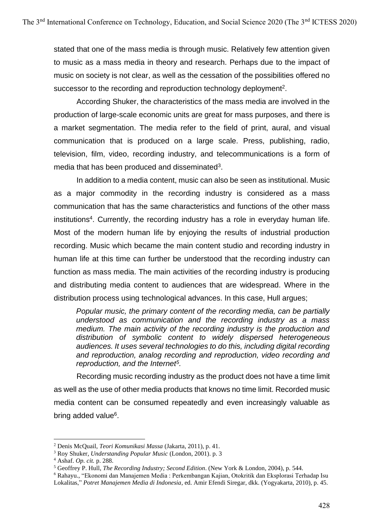stated that one of the mass media is through music. Relatively few attention given to music as a mass media in theory and research. Perhaps due to the impact of music on society is not clear, as well as the cessation of the possibilities offered no successor to the recording and reproduction technology deployment<sup>2</sup>.

According Shuker, the characteristics of the mass media are involved in the production of large-scale economic units are great for mass purposes, and there is a market segmentation. The media refer to the field of print, aural, and visual communication that is produced on a large scale. Press, publishing, radio, television, film, video, recording industry, and telecommunications is a form of media that has been produced and disseminated $3$ .

In addition to a media content, music can also be seen as institutional. Music as a major commodity in the recording industry is considered as a mass communication that has the same characteristics and functions of the other mass institutions<sup>4</sup>. Currently, the recording industry has a role in everyday human life. Most of the modern human life by enjoying the results of industrial production recording. Music which became the main content studio and recording industry in human life at this time can further be understood that the recording industry can function as mass media. The main activities of the recording industry is producing and distributing media content to audiences that are widespread. Where in the distribution process using technological advances. In this case, Hull argues;

*Popular music, the primary content of the recording media, can be partially understood as communication and the recording industry as a mass medium. The main activity of the recording industry is the production and distribution of symbolic content to widely dispersed heterogeneous audiences. It uses several technologies to do this, including digital recording and reproduction, analog recording and reproduction, video recording and reproduction, and the Internet<sup>5</sup> .*

Recording music recording industry as the product does not have a time limit as well as the use of other media products that knows no time limit. Recorded music media content can be consumed repeatedly and even increasingly valuable as bring added value<sup>6</sup>.

<sup>2</sup> Denis McQuail, *Teori Komunikasi Massa* (Jakarta, 2011), p. 41.

<sup>3</sup> Roy Shuker, *Understanding Popular Music* (London, 2001). p. 3

<sup>4</sup> Ashaf. *Op. cit.* p. 288.

<sup>5</sup> Geoffrey P. Hull, *The Recording Industry; Second Edition*. (New York & London, 2004), p. 544.

<sup>6</sup> Rahayu., "Ekonomi dan Manajemen Media : Perkembangan Kajian, Otokritik dan Eksplorasi Terhadap Isu Lokalitas," *Potret Manajemen Media di Indonesia*, ed. Amir Efendi Siregar, dkk. (Yogyakarta, 2010), p. 45.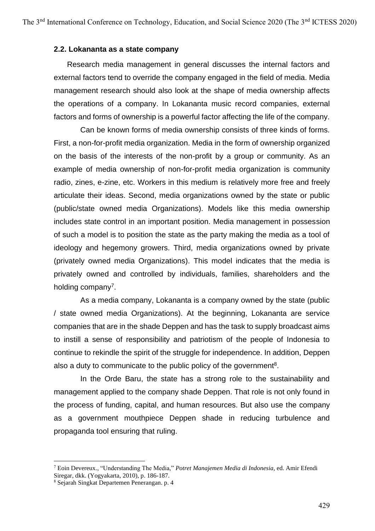#### **2.2. Lokananta as a state company**

Research media management in general discusses the internal factors and external factors tend to override the company engaged in the field of media. Media management research should also look at the shape of media ownership affects the operations of a company. In Lokananta music record companies, external factors and forms of ownership is a powerful factor affecting the life of the company.

Can be known forms of media ownership consists of three kinds of forms. First, a non-for-profit media organization. Media in the form of ownership organized on the basis of the interests of the non-profit by a group or community. As an example of media ownership of non-for-profit media organization is community radio, zines, e-zine, etc. Workers in this medium is relatively more free and freely articulate their ideas. Second, media organizations owned by the state or public (public/state owned media Organizations). Models like this media ownership includes state control in an important position. Media management in possession of such a model is to position the state as the party making the media as a tool of ideology and hegemony growers. Third, media organizations owned by private (privately owned media Organizations). This model indicates that the media is privately owned and controlled by individuals, families, shareholders and the holding company<sup>7</sup>.

As a media company, Lokananta is a company owned by the state (public / state owned media Organizations). At the beginning, Lokananta are service companies that are in the shade Deppen and has the task to supply broadcast aims to instill a sense of responsibility and patriotism of the people of Indonesia to continue to rekindle the spirit of the struggle for independence. In addition, Deppen also a duty to communicate to the public policy of the government<sup>8</sup>.

In the Orde Baru, the state has a strong role to the sustainability and management applied to the company shade Deppen. That role is not only found in the process of funding, capital, and human resources. But also use the company as a government mouthpiece Deppen shade in reducing turbulence and propaganda tool ensuring that ruling.

<sup>7</sup> Eoin Devereux., "Understanding The Media," *Potret Manajemen Media di Indonesia*, ed. Amir Efendi Siregar, dkk. (Yogyakarta, 2010), p. 186-187.

<sup>8</sup> Sejarah Singkat Departemen Penerangan. p. 4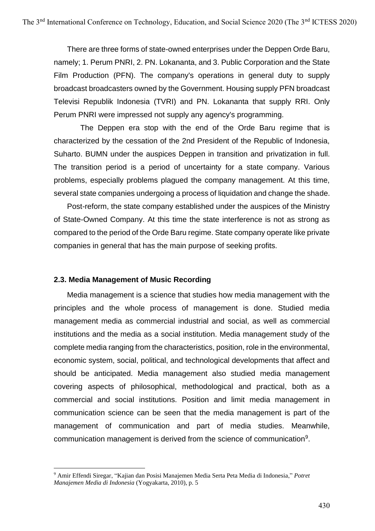There are three forms of state-owned enterprises under the Deppen Orde Baru, namely; 1. Perum PNRI, 2. PN. Lokananta, and 3. Public Corporation and the State Film Production (PFN). The company's operations in general duty to supply broadcast broadcasters owned by the Government. Housing supply PFN broadcast Televisi Republik Indonesia (TVRI) and PN. Lokananta that supply RRI. Only Perum PNRI were impressed not supply any agency's programming.

The Deppen era stop with the end of the Orde Baru regime that is characterized by the cessation of the 2nd President of the Republic of Indonesia, Suharto. BUMN under the auspices Deppen in transition and privatization in full. The transition period is a period of uncertainty for a state company. Various problems, especially problems plagued the company management. At this time, several state companies undergoing a process of liquidation and change the shade.

Post-reform, the state company established under the auspices of the Ministry of State-Owned Company. At this time the state interference is not as strong as compared to the period of the Orde Baru regime. State company operate like private companies in general that has the main purpose of seeking profits.

#### **2.3. Media Management of Music Recording**

Media management is a science that studies how media management with the principles and the whole process of management is done. Studied media management media as commercial industrial and social, as well as commercial institutions and the media as a social institution. Media management study of the complete media ranging from the characteristics, position, role in the environmental, economic system, social, political, and technological developments that affect and should be anticipated. Media management also studied media management covering aspects of philosophical, methodological and practical, both as a commercial and social institutions. Position and limit media management in communication science can be seen that the media management is part of the management of communication and part of media studies. Meanwhile, communication management is derived from the science of communication<sup>9</sup>.

<sup>9</sup> Amir Effendi Siregar, "Kajian dan Posisi Manajemen Media Serta Peta Media di Indonesia," *Potret Manajemen Media di Indonesia* (Yogyakarta, 2010), p. 5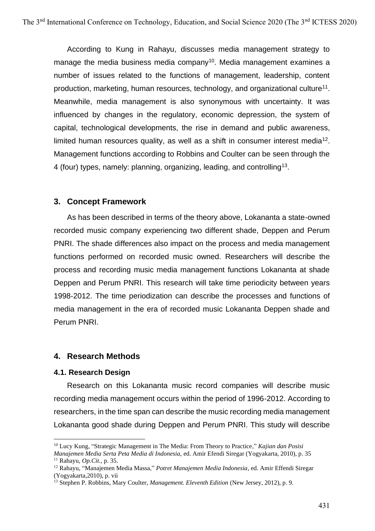According to Kung in Rahayu, discusses media management strategy to manage the media business media company<sup>10</sup>. Media management examines a number of issues related to the functions of management, leadership, content production, marketing, human resources, technology, and organizational culture<sup>11</sup>. Meanwhile, media management is also synonymous with uncertainty. It was influenced by changes in the regulatory, economic depression, the system of capital, technological developments, the rise in demand and public awareness, limited human resources quality, as well as a shift in consumer interest media<sup>12</sup>. Management functions according to Robbins and Coulter can be seen through the 4 (four) types, namely: planning, organizing, leading, and controlling<sup>13</sup>.

## **3. Concept Framework**

As has been described in terms of the theory above, Lokananta a state-owned recorded music company experiencing two different shade, Deppen and Perum PNRI. The shade differences also impact on the process and media management functions performed on recorded music owned. Researchers will describe the process and recording music media management functions Lokananta at shade Deppen and Perum PNRI. This research will take time periodicity between years 1998-2012. The time periodization can describe the processes and functions of media management in the era of recorded music Lokananta Deppen shade and Perum PNRI.

## **4. Research Methods**

#### **4.1. Research Design**

Research on this Lokananta music record companies will describe music recording media management occurs within the period of 1996-2012. According to researchers, in the time span can describe the music recording media management Lokananta good shade during Deppen and Perum PNRI. This study will describe

<sup>10</sup> Lucy Kung, "Strategic Management in The Media: From Theory to Practice," *Kajian dan Posisi* 

*Manajemen Media Serta Peta Media di Indonesia,* ed. Amir Efendi Siregar (Yogyakarta, 2010), p. 35 <sup>11</sup> Rahayu, *Op.Cit.,* p. 35.

<sup>12</sup> Rahayu, "Manajemen Media Massa," *Potret Manajemen Media Indonesia*, ed. Amir Effendi Siregar (Yogyakarta,2010), p. vii

<sup>13</sup> Stephen P. Robbins, Mary Coulter, *Management. Eleventh Edition* (New Jersey, 2012), p. 9.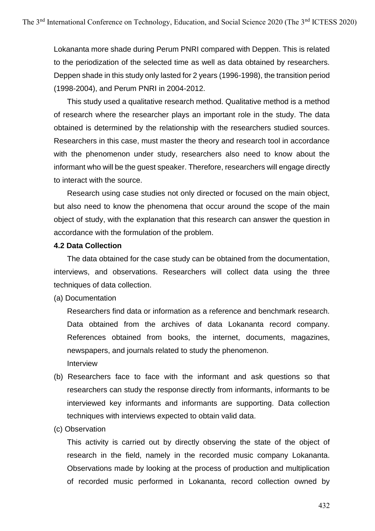Lokananta more shade during Perum PNRI compared with Deppen. This is related to the periodization of the selected time as well as data obtained by researchers. Deppen shade in this study only lasted for 2 years (1996-1998), the transition period (1998-2004), and Perum PNRI in 2004-2012.

This study used a qualitative research method. Qualitative method is a method of research where the researcher plays an important role in the study. The data obtained is determined by the relationship with the researchers studied sources. Researchers in this case, must master the theory and research tool in accordance with the phenomenon under study, researchers also need to know about the informant who will be the guest speaker. Therefore, researchers will engage directly to interact with the source.

Research using case studies not only directed or focused on the main object, but also need to know the phenomena that occur around the scope of the main object of study, with the explanation that this research can answer the question in accordance with the formulation of the problem.

#### **4.2 Data Collection**

The data obtained for the case study can be obtained from the documentation, interviews, and observations. Researchers will collect data using the three techniques of data collection.

(a) Documentation

Researchers find data or information as a reference and benchmark research. Data obtained from the archives of data Lokananta record company. References obtained from books, the internet, documents, magazines, newspapers, and journals related to study the phenomenon. Interview

- (b) Researchers face to face with the informant and ask questions so that researchers can study the response directly from informants, informants to be interviewed key informants and informants are supporting. Data collection techniques with interviews expected to obtain valid data.
- (c) Observation

This activity is carried out by directly observing the state of the object of research in the field, namely in the recorded music company Lokananta. Observations made by looking at the process of production and multiplication of recorded music performed in Lokananta, record collection owned by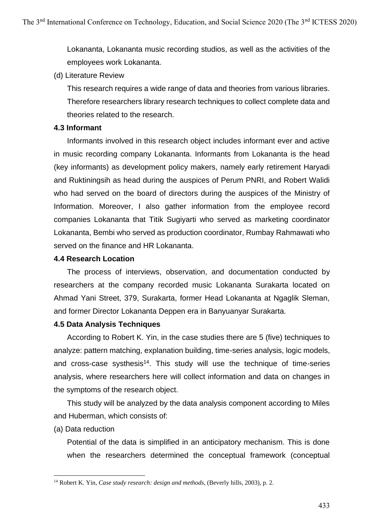Lokananta, Lokananta music recording studios, as well as the activities of the employees work Lokananta.

(d) Literature Review

This research requires a wide range of data and theories from various libraries. Therefore researchers library research techniques to collect complete data and theories related to the research.

### **4.3 Informant**

Informants involved in this research object includes informant ever and active in music recording company Lokananta. Informants from Lokananta is the head (key informants) as development policy makers, namely early retirement Haryadi and Ruktiningsih as head during the auspices of Perum PNRI, and Robert Walidi who had served on the board of directors during the auspices of the Ministry of Information. Moreover, I also gather information from the employee record companies Lokananta that Titik Sugiyarti who served as marketing coordinator Lokananta, Bembi who served as production coordinator, Rumbay Rahmawati who served on the finance and HR Lokananta.

### **4.4 Research Location**

The process of interviews, observation, and documentation conducted by researchers at the company recorded music Lokananta Surakarta located on Ahmad Yani Street, 379, Surakarta, former Head Lokananta at Ngaglik Sleman, and former Director Lokananta Deppen era in Banyuanyar Surakarta.

## **4.5 Data Analysis Techniques**

According to Robert K. Yin, in the case studies there are 5 (five) techniques to analyze: pattern matching, explanation building, time-series analysis, logic models, and cross-case systhesis<sup>14</sup>. This study will use the technique of time-series analysis, where researchers here will collect information and data on changes in the symptoms of the research object.

This study will be analyzed by the data analysis component according to Miles and Huberman, which consists of:

(a) Data reduction

Potential of the data is simplified in an anticipatory mechanism. This is done when the researchers determined the conceptual framework (conceptual

<sup>14</sup> Robert K. Yin, *Case study research: design and methods*, (Beverly hills, 2003), p. 2.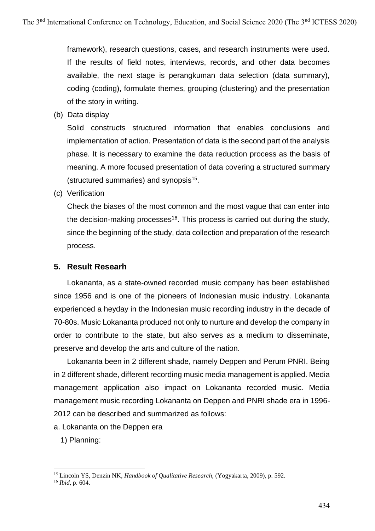framework), research questions, cases, and research instruments were used. If the results of field notes, interviews, records, and other data becomes available, the next stage is perangkuman data selection (data summary), coding (coding), formulate themes, grouping (clustering) and the presentation of the story in writing.

(b) Data display

Solid constructs structured information that enables conclusions and implementation of action. Presentation of data is the second part of the analysis phase. It is necessary to examine the data reduction process as the basis of meaning. A more focused presentation of data covering a structured summary (structured summaries) and synopsis<sup>15</sup>.

(c) Verification

Check the biases of the most common and the most vague that can enter into the decision-making processes<sup>16</sup>. This process is carried out during the study, since the beginning of the study, data collection and preparation of the research process.

## **5. Result Researh**

Lokananta, as a state-owned recorded music company has been established since 1956 and is one of the pioneers of Indonesian music industry. Lokananta experienced a heyday in the Indonesian music recording industry in the decade of 70-80s. Music Lokananta produced not only to nurture and develop the company in order to contribute to the state, but also serves as a medium to disseminate, preserve and develop the arts and culture of the nation.

Lokananta been in 2 different shade, namely Deppen and Perum PNRI. Being in 2 different shade, different recording music media management is applied. Media management application also impact on Lokananta recorded music. Media management music recording Lokananta on Deppen and PNRI shade era in 1996- 2012 can be described and summarized as follows:

a. Lokananta on the Deppen era

1) Planning:

<sup>15</sup> Lincoln YS, Denzin NK, *Handbook of Qualitative Research*, (Yogyakarta, 2009), p. 592.

<sup>16</sup> *Ibid,* p. 604.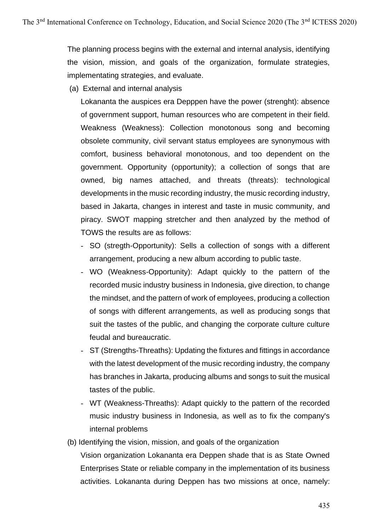The planning process begins with the external and internal analysis, identifying the vision, mission, and goals of the organization, formulate strategies, implementating strategies, and evaluate.

(a) External and internal analysis

Lokananta the auspices era Depppen have the power (strenght): absence of government support, human resources who are competent in their field. Weakness (Weakness): Collection monotonous song and becoming obsolete community, civil servant status employees are synonymous with comfort, business behavioral monotonous, and too dependent on the government. Opportunity (opportunity); a collection of songs that are owned, big names attached, and threats (threats): technological developments in the music recording industry, the music recording industry, based in Jakarta, changes in interest and taste in music community, and piracy. SWOT mapping stretcher and then analyzed by the method of TOWS the results are as follows:

- SO (stregth-Opportunity): Sells a collection of songs with a different arrangement, producing a new album according to public taste.
- WO (Weakness-Opportunity): Adapt quickly to the pattern of the recorded music industry business in Indonesia, give direction, to change the mindset, and the pattern of work of employees, producing a collection of songs with different arrangements, as well as producing songs that suit the tastes of the public, and changing the corporate culture culture feudal and bureaucratic.
- ST (Strengths-Threaths): Updating the fixtures and fittings in accordance with the latest development of the music recording industry, the company has branches in Jakarta, producing albums and songs to suit the musical tastes of the public.
- WT (Weakness-Threaths): Adapt quickly to the pattern of the recorded music industry business in Indonesia, as well as to fix the company's internal problems
- (b) Identifying the vision, mission, and goals of the organization

Vision organization Lokananta era Deppen shade that is as State Owned Enterprises State or reliable company in the implementation of its business activities. Lokananta during Deppen has two missions at once, namely: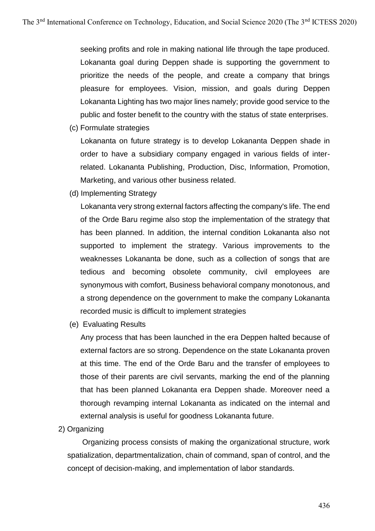seeking profits and role in making national life through the tape produced. Lokananta goal during Deppen shade is supporting the government to prioritize the needs of the people, and create a company that brings pleasure for employees. Vision, mission, and goals during Deppen Lokananta Lighting has two major lines namely; provide good service to the public and foster benefit to the country with the status of state enterprises.

(c) Formulate strategies

Lokananta on future strategy is to develop Lokananta Deppen shade in order to have a subsidiary company engaged in various fields of interrelated. Lokananta Publishing, Production, Disc, Information, Promotion, Marketing, and various other business related.

(d) Implementing Strategy

Lokananta very strong external factors affecting the company's life. The end of the Orde Baru regime also stop the implementation of the strategy that has been planned. In addition, the internal condition Lokananta also not supported to implement the strategy. Various improvements to the weaknesses Lokananta be done, such as a collection of songs that are tedious and becoming obsolete community, civil employees are synonymous with comfort, Business behavioral company monotonous, and a strong dependence on the government to make the company Lokananta recorded music is difficult to implement strategies

(e) Evaluating Results

Any process that has been launched in the era Deppen halted because of external factors are so strong. Dependence on the state Lokananta proven at this time. The end of the Orde Baru and the transfer of employees to those of their parents are civil servants, marking the end of the planning that has been planned Lokananta era Deppen shade. Moreover need a thorough revamping internal Lokananta as indicated on the internal and external analysis is useful for goodness Lokananta future.

2) Organizing

Organizing process consists of making the organizational structure, work spatialization, departmentalization, chain of command, span of control, and the concept of decision-making, and implementation of labor standards.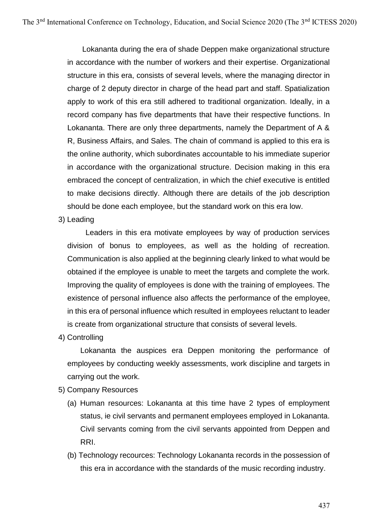Lokananta during the era of shade Deppen make organizational structure in accordance with the number of workers and their expertise. Organizational structure in this era, consists of several levels, where the managing director in charge of 2 deputy director in charge of the head part and staff. Spatialization apply to work of this era still adhered to traditional organization. Ideally, in a record company has five departments that have their respective functions. In Lokananta. There are only three departments, namely the Department of A & R, Business Affairs, and Sales. The chain of command is applied to this era is the online authority, which subordinates accountable to his immediate superior in accordance with the organizational structure. Decision making in this era embraced the concept of centralization, in which the chief executive is entitled to make decisions directly. Although there are details of the job description should be done each employee, but the standard work on this era low.

3) Leading

Leaders in this era motivate employees by way of production services division of bonus to employees, as well as the holding of recreation. Communication is also applied at the beginning clearly linked to what would be obtained if the employee is unable to meet the targets and complete the work. Improving the quality of employees is done with the training of employees. The existence of personal influence also affects the performance of the employee, in this era of personal influence which resulted in employees reluctant to leader is create from organizational structure that consists of several levels.

4) Controlling

Lokananta the auspices era Deppen monitoring the performance of employees by conducting weekly assessments, work discipline and targets in carrying out the work.

- 5) Company Resources
	- (a) Human resources: Lokananta at this time have 2 types of employment status, ie civil servants and permanent employees employed in Lokananta. Civil servants coming from the civil servants appointed from Deppen and RRI.
	- (b) Technology recources: Technology Lokananta records in the possession of this era in accordance with the standards of the music recording industry.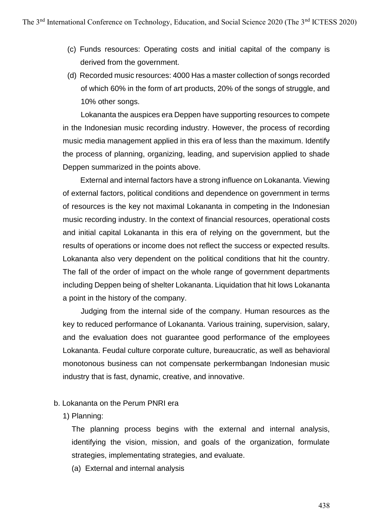- (c) Funds resources: Operating costs and initial capital of the company is derived from the government.
- (d) Recorded music resources: 4000 Has a master collection of songs recorded of which 60% in the form of art products, 20% of the songs of struggle, and 10% other songs.

Lokananta the auspices era Deppen have supporting resources to compete in the Indonesian music recording industry. However, the process of recording music media management applied in this era of less than the maximum. Identify the process of planning, organizing, leading, and supervision applied to shade Deppen summarized in the points above.

External and internal factors have a strong influence on Lokananta. Viewing of external factors, political conditions and dependence on government in terms of resources is the key not maximal Lokananta in competing in the Indonesian music recording industry. In the context of financial resources, operational costs and initial capital Lokananta in this era of relying on the government, but the results of operations or income does not reflect the success or expected results. Lokananta also very dependent on the political conditions that hit the country. The fall of the order of impact on the whole range of government departments including Deppen being of shelter Lokananta. Liquidation that hit lows Lokananta a point in the history of the company.

Judging from the internal side of the company. Human resources as the key to reduced performance of Lokananta. Various training, supervision, salary, and the evaluation does not guarantee good performance of the employees Lokananta. Feudal culture corporate culture, bureaucratic, as well as behavioral monotonous business can not compensate perkermbangan Indonesian music industry that is fast, dynamic, creative, and innovative.

## b. Lokananta on the Perum PNRI era

1) Planning:

The planning process begins with the external and internal analysis, identifying the vision, mission, and goals of the organization, formulate strategies, implementating strategies, and evaluate.

(a) External and internal analysis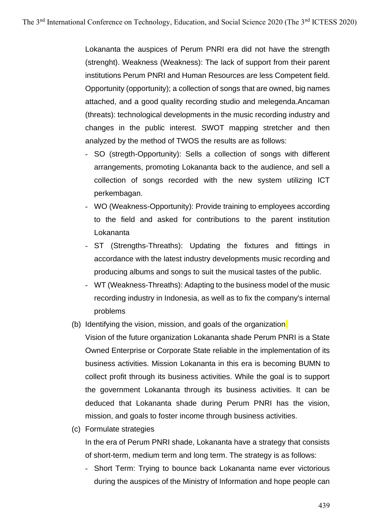Lokananta the auspices of Perum PNRI era did not have the strength (strenght). Weakness (Weakness): The lack of support from their parent institutions Perum PNRI and Human Resources are less Competent field. Opportunity (opportunity); a collection of songs that are owned, big names attached, and a good quality recording studio and melegenda.Ancaman (threats): technological developments in the music recording industry and changes in the public interest. SWOT mapping stretcher and then analyzed by the method of TWOS the results are as follows:

- SO (stregth-Opportunity): Sells a collection of songs with different arrangements, promoting Lokananta back to the audience, and sell a collection of songs recorded with the new system utilizing ICT perkembagan.
- WO (Weakness-Opportunity): Provide training to employees according to the field and asked for contributions to the parent institution Lokananta
- ST (Strengths-Threaths): Updating the fixtures and fittings in accordance with the latest industry developments music recording and producing albums and songs to suit the musical tastes of the public.
- WT (Weakness-Threaths): Adapting to the business model of the music recording industry in Indonesia, as well as to fix the company's internal problems
- (b) Identifying the vision, mission, and goals of the organization
	- Vision of the future organization Lokananta shade Perum PNRI is a State Owned Enterprise or Corporate State reliable in the implementation of its business activities. Mission Lokananta in this era is becoming BUMN to collect profit through its business activities. While the goal is to support the government Lokananta through its business activities. It can be deduced that Lokananta shade during Perum PNRI has the vision, mission, and goals to foster income through business activities.
- (c) Formulate strategies

In the era of Perum PNRI shade, Lokananta have a strategy that consists of short-term, medium term and long term. The strategy is as follows:

- Short Term: Trying to bounce back Lokananta name ever victorious during the auspices of the Ministry of Information and hope people can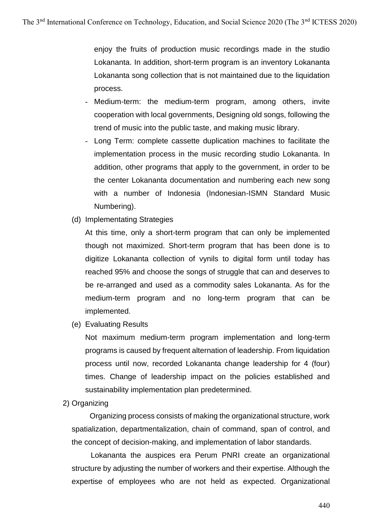enjoy the fruits of production music recordings made in the studio Lokananta. In addition, short-term program is an inventory Lokananta Lokananta song collection that is not maintained due to the liquidation process.

- Medium-term: the medium-term program, among others, invite cooperation with local governments, Designing old songs, following the trend of music into the public taste, and making music library.
- Long Term: complete cassette duplication machines to facilitate the implementation process in the music recording studio Lokananta. In addition, other programs that apply to the government, in order to be the center Lokananta documentation and numbering each new song with a number of Indonesia (Indonesian-ISMN Standard Music Numbering).
- (d) Implementating Strategies

At this time, only a short-term program that can only be implemented though not maximized. Short-term program that has been done is to digitize Lokananta collection of vynils to digital form until today has reached 95% and choose the songs of struggle that can and deserves to be re-arranged and used as a commodity sales Lokananta. As for the medium-term program and no long-term program that can be implemented.

(e) Evaluating Results

Not maximum medium-term program implementation and long-term programs is caused by frequent alternation of leadership. From liquidation process until now, recorded Lokananta change leadership for 4 (four) times. Change of leadership impact on the policies established and sustainability implementation plan predetermined.

2) Organizing

Organizing process consists of making the organizational structure, work spatialization, departmentalization, chain of command, span of control, and the concept of decision-making, and implementation of labor standards.

 Lokananta the auspices era Perum PNRI create an organizational structure by adjusting the number of workers and their expertise. Although the expertise of employees who are not held as expected. Organizational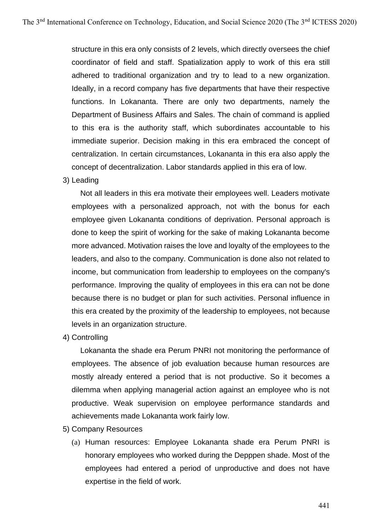structure in this era only consists of 2 levels, which directly oversees the chief coordinator of field and staff. Spatialization apply to work of this era still adhered to traditional organization and try to lead to a new organization. Ideally, in a record company has five departments that have their respective functions. In Lokananta. There are only two departments, namely the Department of Business Affairs and Sales. The chain of command is applied to this era is the authority staff, which subordinates accountable to his immediate superior. Decision making in this era embraced the concept of centralization. In certain circumstances, Lokananta in this era also apply the concept of decentralization. Labor standards applied in this era of low.

#### 3) Leading

Not all leaders in this era motivate their employees well. Leaders motivate employees with a personalized approach, not with the bonus for each employee given Lokananta conditions of deprivation. Personal approach is done to keep the spirit of working for the sake of making Lokananta become more advanced. Motivation raises the love and loyalty of the employees to the leaders, and also to the company. Communication is done also not related to income, but communication from leadership to employees on the company's performance. Improving the quality of employees in this era can not be done because there is no budget or plan for such activities. Personal influence in this era created by the proximity of the leadership to employees, not because levels in an organization structure.

4) Controlling

Lokananta the shade era Perum PNRI not monitoring the performance of employees. The absence of job evaluation because human resources are mostly already entered a period that is not productive. So it becomes a dilemma when applying managerial action against an employee who is not productive. Weak supervision on employee performance standards and achievements made Lokananta work fairly low.

- 5) Company Resources
	- (a) Human resources: Employee Lokananta shade era Perum PNRI is honorary employees who worked during the Depppen shade. Most of the employees had entered a period of unproductive and does not have expertise in the field of work.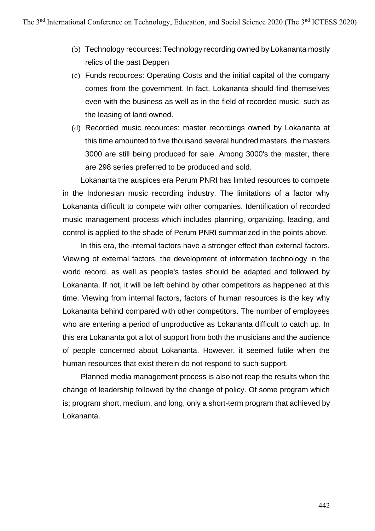- (b) Technology recources: Technology recording owned by Lokananta mostly relics of the past Deppen
- (c) Funds recources: Operating Costs and the initial capital of the company comes from the government. In fact, Lokananta should find themselves even with the business as well as in the field of recorded music, such as the leasing of land owned.
- (d) Recorded music recources: master recordings owned by Lokananta at this time amounted to five thousand several hundred masters, the masters 3000 are still being produced for sale. Among 3000's the master, there are 298 series preferred to be produced and sold.

Lokananta the auspices era Perum PNRI has limited resources to compete in the Indonesian music recording industry. The limitations of a factor why Lokananta difficult to compete with other companies. Identification of recorded music management process which includes planning, organizing, leading, and control is applied to the shade of Perum PNRI summarized in the points above.

In this era, the internal factors have a stronger effect than external factors. Viewing of external factors, the development of information technology in the world record, as well as people's tastes should be adapted and followed by Lokananta. If not, it will be left behind by other competitors as happened at this time. Viewing from internal factors, factors of human resources is the key why Lokananta behind compared with other competitors. The number of employees who are entering a period of unproductive as Lokananta difficult to catch up. In this era Lokananta got a lot of support from both the musicians and the audience of people concerned about Lokananta. However, it seemed futile when the human resources that exist therein do not respond to such support.

Planned media management process is also not reap the results when the change of leadership followed by the change of policy. Of some program which is; program short, medium, and long, only a short-term program that achieved by Lokananta.